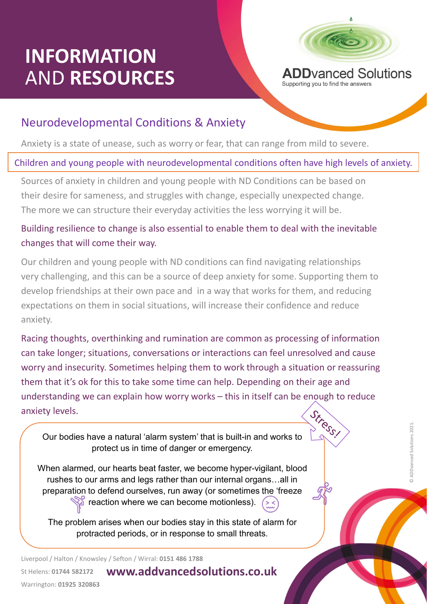# INFORMATION<br>AND RESOURCES ADD AND Solutions AND RESOURCES



### Neurodevelopmental Conditions & Anxiety

Anxiety is a state of unease, such as worry or fear, that can range from mild to severe.

#### Children and young people with neurodevelopmental conditions often have high levels of anxiety.

Sources of anxiety in children and young people with ND Conditions can be based on THE SURVIVENTION<br>THE SURVIVENTION AND RESOURCES<br>ADD RESOURCES<br>Anxiety is a state of unease, such as worry or fear, that can range from mild to severe.<br>Fildren and young people with neurodevelopmental conditions often have The more we can structure their everyday activities the less worrying it will be.

#### Building resilience to change is also essential to enable them to deal with the inevitable changes that will come their way.

**Supporting you to find the answers Supporting you to find the answers Neurodevelopmental Conditions & Anxiety**<br> **Example 10** and young people with neurodevelopmental conditions often have high levels of anxiety.<br>
Sources very challenging, and this can be a source of deep anxiety for some. Supporting them to develop friendships at their own pace and in a way that works for them, and reducing expectations on them in social situations, will increase their confidence and reduce anxiety. hildren and young people with neurodevelopmental conditions often have high levels of anxiety.<br>
Sources of anxiety in children and young people with ND Conditions can be based on<br>
their desire for sameness, and struggles w

rce of deep anxiety for some. Supporting them to<br>and in a way that works for them, and reducing<br>ns, will increase their confidence and reduce<br>initiation are common as processing of information<br>ns or interactions can feel u can take longer; situations, conversations or interactions can feel unresolved and cause worry and insecurity. Sometimes helping them to work through a situation or reassuring them that it's ok for this to take some time can help. Depending on their age and Building resilience to change is also essential to enable them to deal with the inevitable<br>changes that will come their way.<br>Our children and young people with ND conditions can find navigating relationships<br>very challengi anxiety levels. Our bodies have a natural 'alarm system' that is built-in and works to

protect us in time of danger or emergency.

When alarmed, our hearts beat faster, we become hyper-vigilant, blood rushes to our arms and legs rather than our internal organs…all in preparation to defend ourselves, run away (or sometimes the 'freeze **P** reaction where we can become motionless).

The problem arises when our bodies stay in this state of alarm for protracted periods, or in response to small threats.

www.addvancedsolutions.co.uk Liverpool / Halton / Knowsley / Sefton / Wirral: 0151 486 1788 St Helens: 01744 582172 Warrington: 01925 320863